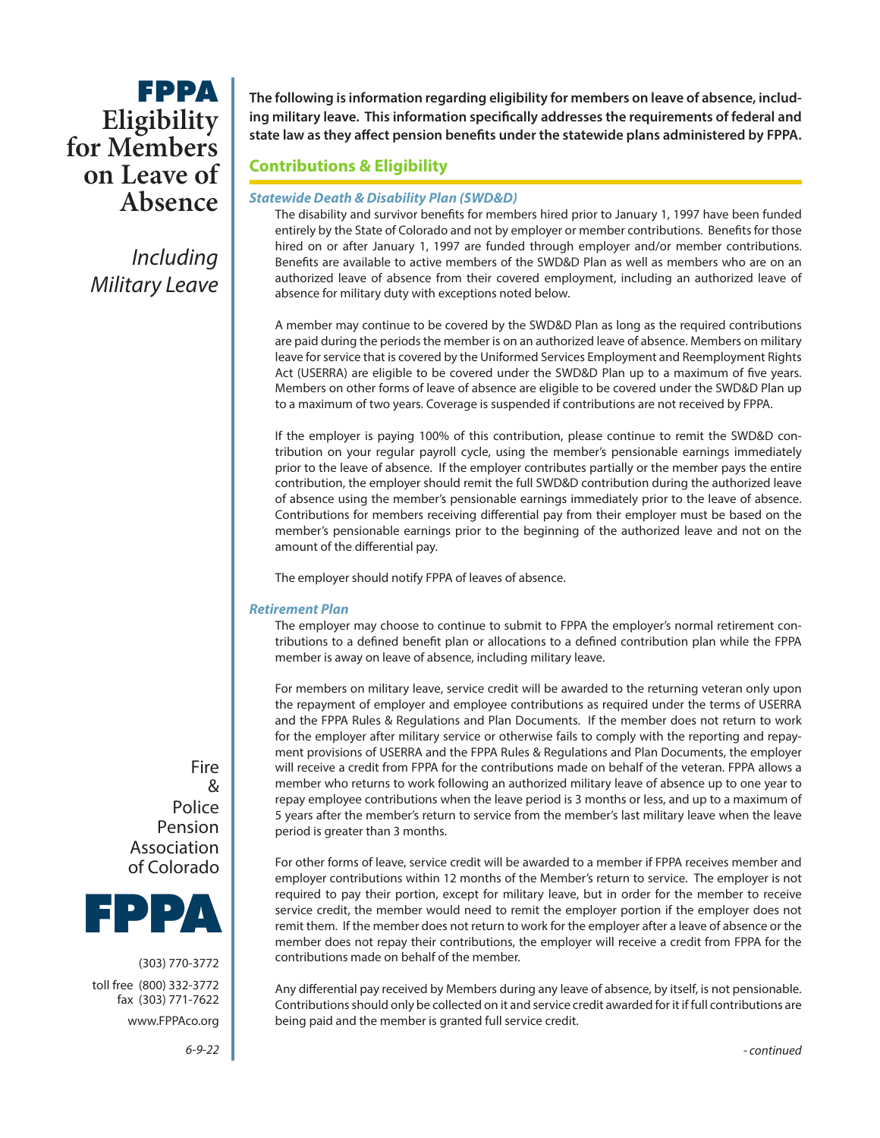# **FPPA** for Members **on Leave of Absence**

*Including Military Leave* **The following is information regarding eligibility for members on leave of absence, including military leave. This information specifically addresses the requirements of federal and state law as they affect pension benefits under the statewide plans administered by FPPA.**

### **Contributions & Eligibility**

### *Statewide Death & Disability Plan (SWD&D)*

The disability and survivor benefits for members hired prior to January 1, 1997 have been funded entirely by the State of Colorado and not by employer or member contributions. Benefits for those hired on or after January 1, 1997 are funded through employer and/or member contributions. Benefits are available to active members of the SWD&D Plan as well as members who are on an authorized leave of absence from their covered employment, including an authorized leave of absence for military duty with exceptions noted below.

A member may continue to be covered by the SWD&D Plan as long as the required contributions are paid during the periods the member is on an authorized leave of absence. Members on military leave for service that is covered by the Uniformed Services Employment and Reemployment Rights Act (USERRA) are eligible to be covered under the SWD&D Plan up to a maximum of five years. Members on other forms of leave of absence are eligible to be covered under the SWD&D Plan up to a maximum of two years. Coverage is suspended if contributions are not received by FPPA.

If the employer is paying 100% of this contribution, please continue to remit the SWD&D contribution on your regular payroll cycle, using the member's pensionable earnings immediately prior to the leave of absence. If the employer contributes partially or the member pays the entire contribution, the employer should remit the full SWD&D contribution during the authorized leave of absence using the member's pensionable earnings immediately prior to the leave of absence. Contributions for members receiving differential pay from their employer must be based on the member's pensionable earnings prior to the beginning of the authorized leave and not on the amount of the differential pay.

The employer should notify FPPA of leaves of absence.

### *Retirement Plan*

The employer may choose to continue to submit to FPPA the employer's normal retirement contributions to a defined benefit plan or allocations to a defined contribution plan while the FPPA member is away on leave of absence, including military leave.

For members on military leave, service credit will be awarded to the returning veteran only upon the repayment of employer and employee contributions as required under the terms of USERRA and the FPPA Rules & Regulations and Plan Documents. If the member does not return to work for the employer after military service or otherwise fails to comply with the reporting and repayment provisions of USERRA and the FPPA Rules & Regulations and Plan Documents, the employer will receive a credit from FPPA for the contributions made on behalf of the veteran. FPPA allows a member who returns to work following an authorized military leave of absence up to one year to repay employee contributions when the leave period is 3 months or less, and up to a maximum of 5 years after the member's return to service from the member's last military leave when the leave period is greater than 3 months.

For other forms of leave, service credit will be awarded to a member if FPPA receives member and employer contributions within 12 months of the Member's return to service. The employer is not required to pay their portion, except for military leave, but in order for the member to receive service credit, the member would need to remit the employer portion if the employer does not remit them. If the member does not return to work for the employer after a leave of absence or the member does not repay their contributions, the employer will receive a credit from FPPA for the contributions made on behalf of the member.

Any differential pay received by Members during any leave of absence, by itself, is not pensionable. Contributions should only be collected on it and service credit awarded for it if full contributions are being paid and the member is granted full service credit.

Fire & Police Pension Association of Colorado



(303) 770-3772 toll free (800) 332-3772 fax (303) 771-7622 www.FPPAco.org

6-9*-*22